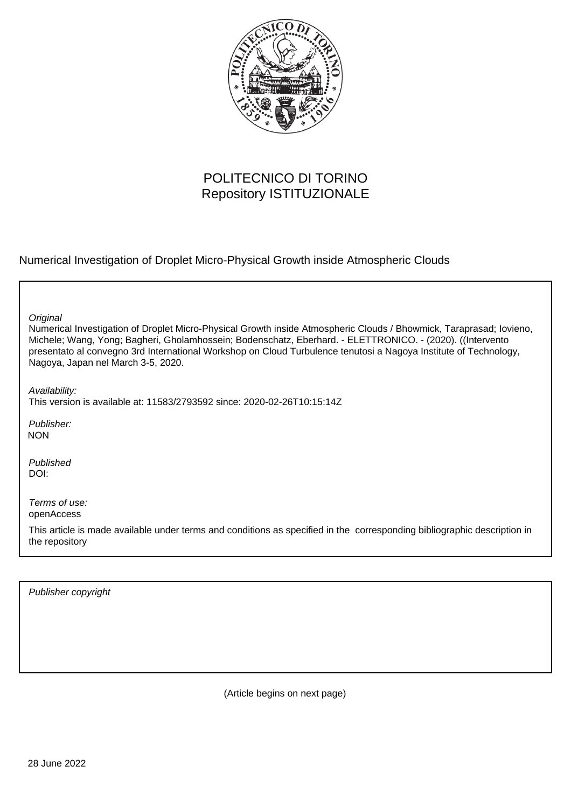

## POLITECNICO DI TORINO Repository ISTITUZIONALE

Numerical Investigation of Droplet Micro-Physical Growth inside Atmospheric Clouds

| Original<br>Numerical Investigation of Droplet Micro-Physical Growth inside Atmospheric Clouds / Bhowmick, Taraprasad; Iovieno,                                                                                                                                     |
|---------------------------------------------------------------------------------------------------------------------------------------------------------------------------------------------------------------------------------------------------------------------|
| Michele; Wang, Yong; Bagheri, Gholamhossein; Bodenschatz, Eberhard. - ELETTRONICO. - (2020). ((Intervento<br>presentato al convegno 3rd International Workshop on Cloud Turbulence tenutosi a Nagoya Institute of Technology,<br>Nagoya, Japan nel March 3-5, 2020. |
| Availability:<br>This version is available at: 11583/2793592 since: 2020-02-26T10:15:14Z                                                                                                                                                                            |
| Publisher:<br><b>NON</b>                                                                                                                                                                                                                                            |
| Published<br>DOI:                                                                                                                                                                                                                                                   |
| Terms of use:<br>openAccess                                                                                                                                                                                                                                         |
| This article is made available under terms and conditions as specified in the corresponding bibliographic description in<br>the repository                                                                                                                          |

Publisher copyright

(Article begins on next page)